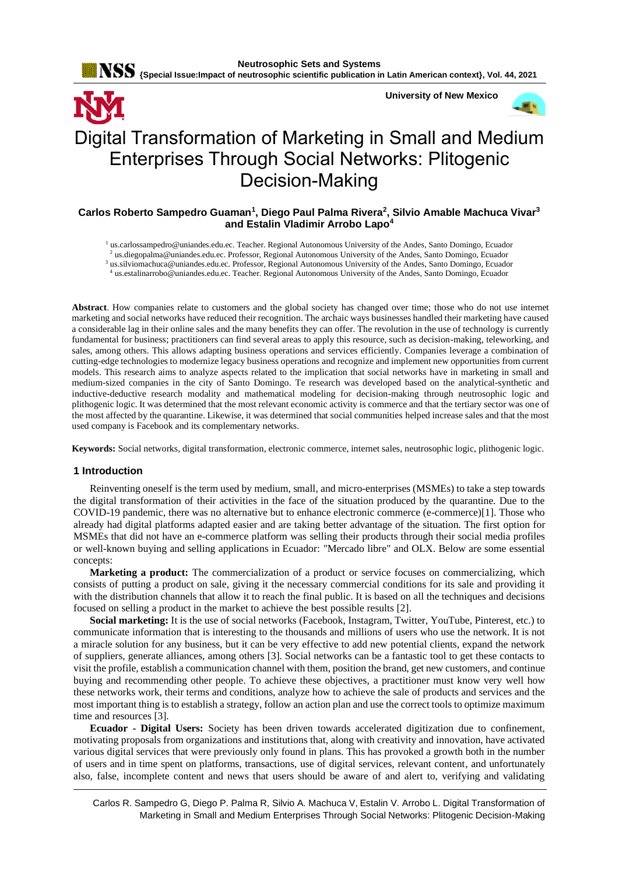

## **Carlos Roberto Sampedro Guaman<sup>1</sup> , Diego Paul Palma Rivera<sup>2</sup> , Silvio Amable Machuca Vivar<sup>3</sup> and Estalin Vladimir Arrobo Lapo<sup>4</sup>**

 us.carlossampedro@uniandes.edu.ec. Teacher. Regional Autonomous University of the Andes, Santo Domingo, Ecuador us.diegopalma@uniandes.edu.ec. Professor, Regional Autonomous University of the Andes, Santo Domingo, Ecuador us.silviomachuca@uniandes.edu.ec. Professor, Regional Autonomous University of the Andes, Santo Domingo, Ecuador us.estalinarrobo@uniandes.edu.ec. Teacher. Regional Autonomous University of the Andes, Santo Domingo, Ecuador

**Abstract**. How companies relate to customers and the global society has changed over time; those who do not use internet marketing and social networks have reduced their recognition. The archaic ways businesses handled their marketing have caused a considerable lag in their online sales and the many benefits they can offer. The revolution in the use of technology is currently fundamental for business; practitioners can find several areas to apply this resource, such as decision-making, teleworking, and sales, among others. This allows adapting business operations and services efficiently. Companies leverage a combination of cutting-edge technologies to modernize legacy business operations and recognize and implement new opportunities from current models. This research aims to analyze aspects related to the implication that social networks have in marketing in small and medium-sized companies in the city of Santo Domingo. Te research was developed based on the analytical-synthetic and inductive-deductive research modality and mathematical modeling for decision-making through neutrosophic logic and plithogenic logic. It was determined that the most relevant economic activity is commerce and that the tertiary sector was one of the most affected by the quarantine. Likewise, it was determined that social communities helped increase sales and that the most used company is Facebook and its complementary networks.

**Keywords:** Social networks, digital transformation, electronic commerce, internet sales, neutrosophic logic, plithogenic logic.

#### **1 Introduction**

Reinventing oneself is the term used by medium, small, and micro-enterprises (MSMEs) to take a step towards the digital transformation of their activities in the face of the situation produced by the quarantine. Due to the COVID-19 pandemic, there was no alternative but to enhance electronic commerce (e-commerce)[1]. Those who already had digital platforms adapted easier and are taking better advantage of the situation. The first option for MSMEs that did not have an e-commerce platform was selling their products through their social media profiles or well-known buying and selling applications in Ecuador: "Mercado libre" and OLX. Below are some essential concepts:

**Marketing a product:** The commercialization of a product or service focuses on commercializing, which consists of putting a product on sale, giving it the necessary commercial conditions for its sale and providing it with the distribution channels that allow it to reach the final public. It is based on all the techniques and decisions focused on selling a product in the market to achieve the best possible results [2].

**Social marketing:** It is the use of social networks (Facebook, Instagram, Twitter, YouTube, Pinterest, etc.) to communicate information that is interesting to the thousands and millions of users who use the network. It is not a miracle solution for any business, but it can be very effective to add new potential clients, expand the network of suppliers, generate alliances, among others [3]. Social networks can be a fantastic tool to get these contacts to visit the profile, establish a communication channel with them, position the brand, get new customers, and continue buying and recommending other people. To achieve these objectives, a practitioner must know very well how these networks work, their terms and conditions, analyze how to achieve the sale of products and services and the most important thing is to establish a strategy, follow an action plan and use the correct tools to optimize maximum time and resources [3].

**Ecuador - Digital Users:** Society has been driven towards accelerated digitization due to confinement, motivating proposals from organizations and institutions that, along with creativity and innovation, have activated various digital services that were previously only found in plans. This has provoked a growth both in the number of users and in time spent on platforms, transactions, use of digital services, relevant content, and unfortunately also, false, incomplete content and news that users should be aware of and alert to, verifying and validating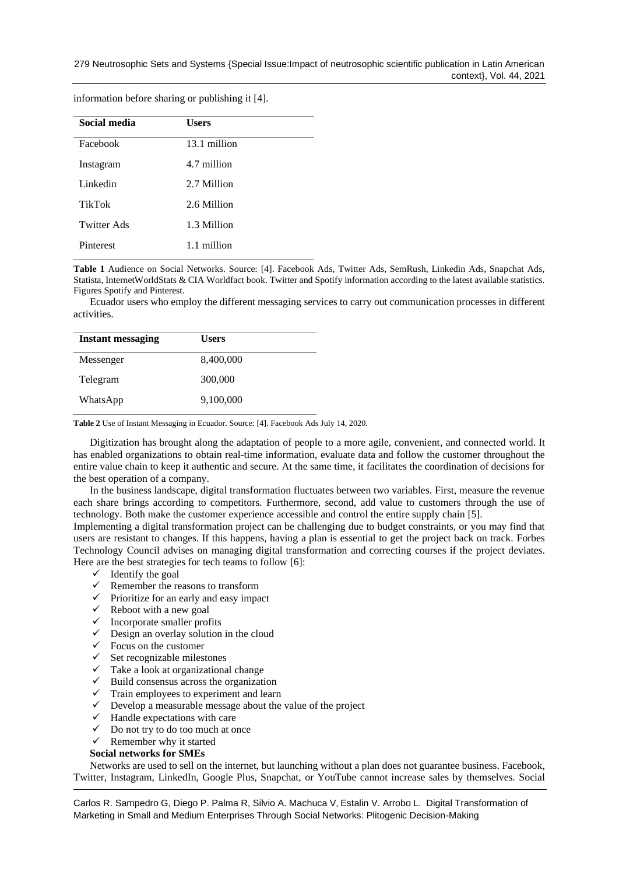| Social media  | <b>Users</b> |
|---------------|--------------|
| Facebook      | 13.1 million |
| Instagram     | 4.7 million  |
| Linkedin      | 2.7 Million  |
| <b>TikTok</b> | 2.6 Million  |
| Twitter Ads   | 1.3 Million  |
| Pinterest     | 1.1 million  |

information before sharing or publishing it [4].

**Table 1** Audience on Social Networks. Source: [4]. Facebook Ads, Twitter Ads, SemRush, Linkedin Ads, Snapchat Ads, Statista, InternetWorldStats & CIA Worldfact book. Twitter and Spotify information according to the latest available statistics. Figures Spotify and Pinterest.

Ecuador users who employ the different messaging services to carry out communication processes in different activities.

| <b>Instant messaging</b> | <b>Users</b> |  |
|--------------------------|--------------|--|
| Messenger                | 8,400,000    |  |
| Telegram                 | 300,000      |  |
| WhatsApp                 | 9,100,000    |  |

**Table 2** Use of Instant Messaging in Ecuador. Source: [4]. Facebook Ads July 14, 2020.

Digitization has brought along the adaptation of people to a more agile, convenient, and connected world. It has enabled organizations to obtain real-time information, evaluate data and follow the customer throughout the entire value chain to keep it authentic and secure. At the same time, it facilitates the coordination of decisions for the best operation of a company.

In the business landscape, digital transformation fluctuates between two variables. First, measure the revenue each share brings according to competitors. Furthermore, second, add value to customers through the use of technology. Both make the customer experience accessible and control the entire supply chain [5].

Implementing a digital transformation project can be challenging due to budget constraints, or you may find that users are resistant to changes. If this happens, having a plan is essential to get the project back on track. Forbes Technology Council advises on managing digital transformation and correcting courses if the project deviates. Here are the best strategies for tech teams to follow [6]:

- $\checkmark$  Identify the goal
- $\checkmark$  Remember the reasons to transform
- $\checkmark$  Prioritize for an early and easy impact
- $\checkmark$  Reboot with a new goal
- $\checkmark$  Incorporate smaller profits
- $\checkmark$  Design an overlay solution in the cloud
- $\checkmark$  Focus on the customer
- $\checkmark$  Set recognizable milestones
- $\checkmark$  Take a look at organizational change
- $\checkmark$  Build consensus across the organization
- $\checkmark$  Train employees to experiment and learn
- $\checkmark$  Develop a measurable message about the value of the project
- $\checkmark$  Handle expectations with care
- $\checkmark$  Do not try to do too much at once

# ✓ Remember why it started

# **Social networks for SMEs**

Networks are used to sell on the internet, but launching without a plan does not guarantee business. Facebook, Twitter, Instagram, LinkedIn, Google Plus, Snapchat, or YouTube cannot increase sales by themselves. Social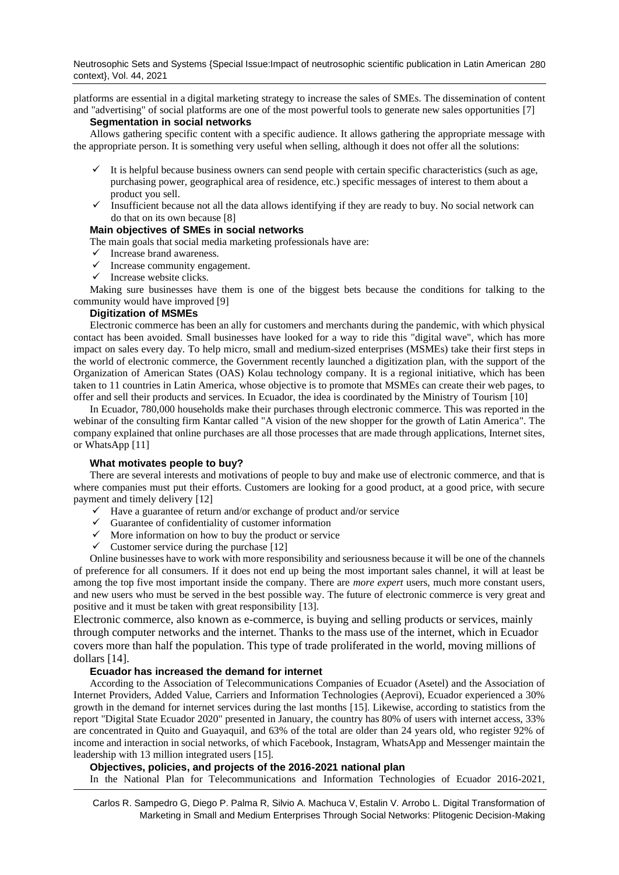Neutrosophic Sets and Systems {Special Issue:Impact of neutrosophic scientific publication in Latin American 280 context}, Vol. 44, 2021

platforms are essential in a digital marketing strategy to increase the sales of SMEs. The dissemination of content and "advertising" of social platforms are one of the most powerful tools to generate new sales opportunities [7]

### **Segmentation in social networks**

Allows gathering specific content with a specific audience. It allows gathering the appropriate message with the appropriate person. It is something very useful when selling, although it does not offer all the solutions:

- $\checkmark$  It is helpful because business owners can send people with certain specific characteristics (such as age, purchasing power, geographical area of residence, etc.) specific messages of interest to them about a product you sell.
- ✓ Insufficient because not all the data allows identifying if they are ready to buy. No social network can do that on its own because [8]

# **Main objectives of SMEs in social networks**

The main goals that social media marketing professionals have are:

- $\checkmark$  Increase brand awareness.
- $\checkmark$  Increase community engagement.
- $\checkmark$  Increase website clicks.

Making sure businesses have them is one of the biggest bets because the conditions for talking to the community would have improved [9]

## **Digitization of MSMEs**

Electronic commerce has been an ally for customers and merchants during the pandemic, with which physical contact has been avoided. Small businesses have looked for a way to ride this "digital wave", which has more impact on sales every day. To help micro, small and medium-sized enterprises (MSMEs) take their first steps in the world of electronic commerce, the Government recently launched a digitization plan, with the support of the Organization of American States (OAS) Kolau technology company. It is a regional initiative, which has been taken to 11 countries in Latin America, whose objective is to promote that MSMEs can create their web pages, to offer and sell their products and services. In Ecuador, the idea is coordinated by the Ministry of Tourism [10]

In Ecuador, 780,000 households make their purchases through electronic commerce. This was reported in the webinar of the consulting firm Kantar called "A vision of the new shopper for the growth of Latin America". The company explained that online purchases are all those processes that are made through applications, Internet sites, or WhatsApp [11]

### **What motivates people to buy?**

There are several interests and motivations of people to buy and make use of electronic commerce, and that is where companies must put their efforts. Customers are looking for a good product, at a good price, with secure payment and timely delivery [12]

- $\checkmark$  Have a guarantee of return and/or exchange of product and/or service
- ✓ Guarantee of confidentiality of customer information
- $\checkmark$  More information on how to buy the product or service
- $\checkmark$  Customer service during the purchase [12]

Online businesses have to work with more responsibility and seriousness because it will be one of the channels of preference for all consumers. If it does not end up being the most important sales channel, it will at least be among the top five most important inside the company. There are *more expert* users, much more constant users, and new users who must be served in the best possible way. The future of electronic commerce is very great and positive and it must be taken with great responsibility [13].

Electronic commerce, also known as e-commerce, is buying and selling products or services, mainly through computer networks and the internet. Thanks to the mass use of the internet, which in Ecuador covers more than half the population. This type of trade proliferated in the world, moving millions of dollars [14].

### **Ecuador has increased the demand for internet**

According to the Association of Telecommunications Companies of Ecuador (Asetel) and the Association of Internet Providers, Added Value, Carriers and Information Technologies (Aeprovi), Ecuador experienced a 30% growth in the demand for internet services during the last months [15]. Likewise, according to statistics from the report "Digital State Ecuador 2020" presented in January, the country has 80% of users with internet access, 33% are concentrated in Quito and Guayaquil, and 63% of the total are older than 24 years old, who register 92% of income and interaction in social networks, of which Facebook, Instagram, WhatsApp and Messenger maintain the leadership with 13 million integrated users [15].

## **Objectives, policies, and projects of the 2016-2021 national plan**

In the National Plan for Telecommunications and Information Technologies of Ecuador 2016-2021,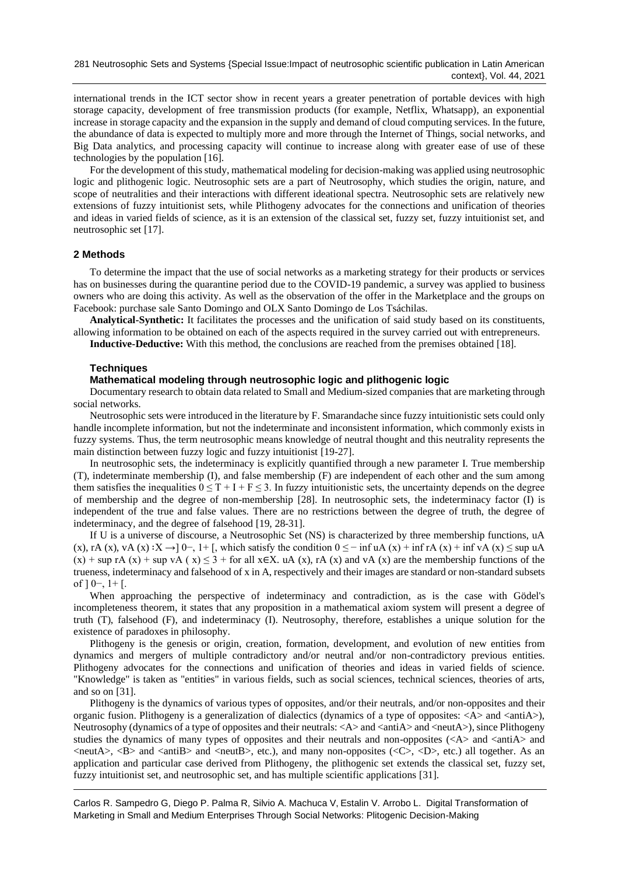international trends in the ICT sector show in recent years a greater penetration of portable devices with high storage capacity, development of free transmission products (for example, Netflix, Whatsapp), an exponential increase in storage capacity and the expansion in the supply and demand of cloud computing services. In the future, the abundance of data is expected to multiply more and more through the Internet of Things, social networks, and Big Data analytics, and processing capacity will continue to increase along with greater ease of use of these technologies by the population [16].

For the development of this study, mathematical modeling for decision-making was applied using neutrosophic logic and plithogenic logic. Neutrosophic sets are a part of Neutrosophy, which studies the origin, nature, and scope of neutralities and their interactions with different ideational spectra. Neutrosophic sets are relatively new extensions of fuzzy intuitionist sets, while Plithogeny advocates for the connections and unification of theories and ideas in varied fields of science, as it is an extension of the classical set, fuzzy set, fuzzy intuitionist set, and neutrosophic set [17].

### **2 Methods**

To determine the impact that the use of social networks as a marketing strategy for their products or services has on businesses during the quarantine period due to the COVID-19 pandemic, a survey was applied to business owners who are doing this activity. As well as the observation of the offer in the Marketplace and the groups on Facebook: purchase sale Santo Domingo and OLX Santo Domingo de Los Tsáchilas.

**Analytical-Synthetic:** It facilitates the processes and the unification of said study based on its constituents, allowing information to be obtained on each of the aspects required in the survey carried out with entrepreneurs.

**Inductive-Deductive:** With this method, the conclusions are reached from the premises obtained [18].

## **Techniques**

### **Mathematical modeling through neutrosophic logic and plithogenic logic**

Documentary research to obtain data related to Small and Medium-sized companies that are marketing through social networks.

Neutrosophic sets were introduced in the literature by F. Smarandache since fuzzy intuitionistic sets could only handle incomplete information, but not the indeterminate and inconsistent information, which commonly exists in fuzzy systems. Thus, the term neutrosophic means knowledge of neutral thought and this neutrality represents the main distinction between fuzzy logic and fuzzy intuitionist [19-27].

In neutrosophic sets, the indeterminacy is explicitly quantified through a new parameter I. True membership (T), indeterminate membership (I), and false membership (F) are independent of each other and the sum among them satisfies the inequalities  $0 \le T + I + F \le 3$ . In fuzzy intuitionistic sets, the uncertainty depends on the degree of membership and the degree of non-membership [28]. In neutrosophic sets, the indeterminacy factor (I) is independent of the true and false values. There are no restrictions between the degree of truth, the degree of indeterminacy, and the degree of falsehood [19, 28-31].

If U is a universe of discourse, a Neutrosophic Set (NS) is characterized by three membership functions, uA (x), rA (x), vA (x) :  $X \rightarrow 0^-$ , 1+ [, which satisfy the condition  $0 \le -$  inf uA (x) + inf rA (x) + inf vA (x)  $\le$  sup uA  $(x)$  + sup rA  $(x)$  + sup vA  $(x) \le 3$  + for all x∈X. uA  $(x)$ , rA  $(x)$  and vA  $(x)$  are the membership functions of the trueness, indeterminacy and falsehood of x in A, respectively and their images are standard or non-standard subsets of ] 0−, 1+ [.

When approaching the perspective of indeterminacy and contradiction, as is the case with Gödel's incompleteness theorem, it states that any proposition in a mathematical axiom system will present a degree of truth (T), falsehood (F), and indeterminacy (I). Neutrosophy, therefore, establishes a unique solution for the existence of paradoxes in philosophy.

Plithogeny is the genesis or origin, creation, formation, development, and evolution of new entities from dynamics and mergers of multiple contradictory and/or neutral and/or non-contradictory previous entities. Plithogeny advocates for the connections and unification of theories and ideas in varied fields of science. "Knowledge" is taken as "entities" in various fields, such as social sciences, technical sciences, theories of arts, and so on [31].

Plithogeny is the dynamics of various types of opposites, and/or their neutrals, and/or non-opposites and their organic fusion. Plithogeny is a generalization of dialectics (dynamics of a type of opposites: <A> and <antiA>), Neutrosophy (dynamics of a type of opposites and their neutrals: <A> and <antiA> and <neutA>), since Plithogeny studies the dynamics of many types of opposites and their neutrals and non-opposites  $\langle \langle A \rangle$  and  $\langle \langle \rangle$  and  $\langle \rangle$  $\langle$ neutA $\rangle$ ,  $\langle$ B $\rangle$  and  $\langle$ antiB $\rangle$  and  $\langle$ neutB $\rangle$ , etc.), and many non-opposites ( $\langle$ C $\rangle$ ,  $\langle$ D $\rangle$ , etc.) all together. As an application and particular case derived from Plithogeny, the plithogenic set extends the classical set, fuzzy set, fuzzy intuitionist set, and neutrosophic set, and has multiple scientific applications [31].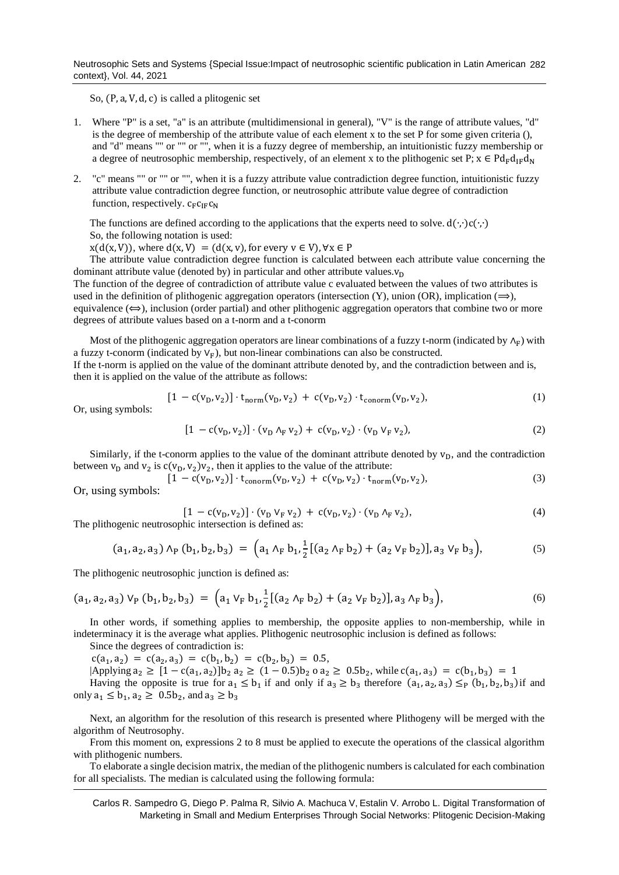Neutrosophic Sets and Systems {Special Issue:Impact of neutrosophic scientific publication in Latin American 282 context}, Vol. 44, 2021

So, (P, a, V, d, c) is called a plitogenic set

- 1. Where "P" is a set, "a" is an attribute (multidimensional in general), "V" is the range of attribute values, "d" is the degree of membership of the attribute value of each element x to the set P for some given criteria (), and "d" means "" or "" or "", when it is a fuzzy degree of membership, an intuitionistic fuzzy membership or a degree of neutrosophic membership, respectively, of an element x to the plithogenic set P;  $x \in Pd_Fd_Fd_N$
- 2. "c" means "" or "" or "", when it is a fuzzy attribute value contradiction degree function, intuitionistic fuzzy attribute value contradiction degree function, or neutrosophic attribute value degree of contradiction function, respectively.  $c_F c_F c_N$

The functions are defined according to the applications that the experts need to solve. d(⋅,⋅)c(⋅,⋅) So, the following notation is used:

 $x(d(x, V))$ , where  $d(x, V) = (d(x, v))$ , for every  $v \in V$ ),  $\forall x \in P$ 

The attribute value contradiction degree function is calculated between each attribute value concerning the dominant attribute value (denoted by) in particular and other attribute values. $v<sub>D</sub>$ 

The function of the degree of contradiction of attribute value c evaluated between the values of two attributes is used in the definition of plithogenic aggregation operators (intersection  $(Y)$ , union  $(OR)$ , implication  $(\Rightarrow)$ , equivalence  $(\Leftrightarrow)$ , inclusion (order partial) and other plithogenic aggregation operators that combine two or more degrees of attribute values based on a t-norm and a t-conorm

Most of the plithogenic aggregation operators are linear combinations of a fuzzy t-norm (indicated by  $\Lambda_F$ ) with a fuzzy t-conorm (indicated by  $V_F$ ), but non-linear combinations can also be constructed.

If the t-norm is applied on the value of the dominant attribute denoted by, and the contradiction between and is, then it is applied on the value of the attribute as follows:

$$
[1 - c(v_D, v_2)] \cdot t_{norm}(v_D, v_2) + c(v_D, v_2) \cdot t_{conorm}(v_D, v_2), \tag{1}
$$

Or, using symbols:

$$
[1 - c(v_D, v_2)] \cdot (v_D \wedge_F v_2) + c(v_D, v_2) \cdot (v_D \vee_F v_2), \tag{2}
$$

Similarly, if the t-conorm applies to the value of the dominant attribute denoted by  $v<sub>D</sub>$ , and the contradiction between  $v_D$  and  $v_2$  is  $c(v_D, v_2)v_2$ , then it applies to the value of the attribute:

$$
[1 - c(v_D, v_2)] \cdot t_{\text{conorm}}(v_D, v_2) + c(v_D, v_2) \cdot t_{\text{norm}}(v_D, v_2),
$$
\n(3)

Or, using sy

$$
[1 - c(v_D, v_2)] \cdot (v_D \, v_F \, v_2) + c(v_D, v_2) \cdot (v_D \, \Lambda_F \, v_2),
$$
\nThe plithogenic neutrosophic intersection is defined as:

\n(4)

$$
(a_1, a_2, a_3) \wedge_P (b_1, b_2, b_3) = (a_1 \wedge_F b_1, \frac{1}{2}[(a_2 \wedge_F b_2) + (a_2 \vee_F b_2)], a_3 \vee_F b_3),
$$
 (5)

The plithogenic neutrosophic junction is defined as:

$$
(a_1, a_2, a_3) V_P (b_1, b_2, b_3) = (a_1 V_F b_1, \frac{1}{2} [(a_2 \wedge_F b_2) + (a_2 V_F b_2)], a_3 \wedge_F b_3), \qquad (6)
$$

In other words, if something applies to membership, the opposite applies to non-membership, while in indeterminacy it is the average what applies. Plithogenic neutrosophic inclusion is defined as follows:

Since the degrees of contradiction is:

 $c(a_1, a_2) = c(a_2, a_3) = c(b_1, b_2) = c(b_2, b_3) = 0.5$ 

 $|Applying a_2 \geq [1 - c(a_1, a_2)]b_2 a_2 \geq (1 - 0.5)b_2 o a_2 \geq 0.5b_2$ , while  $c(a_1, a_3) = c(b_1, b_3) = 1$ Having the opposite is true for  $a_1 \le b_1$  if and only if  $a_3 \ge b_3$  therefore  $(a_1, a_2, a_3) \le_p (b_1, b_2, b_3)$  if and only  $a_1 \le b_1$ ,  $a_2 \ge 0.5b_2$ , and  $a_3 \ge b_3$ 

Next, an algorithm for the resolution of this research is presented where Plithogeny will be merged with the algorithm of Neutrosophy.

From this moment on, expressions 2 to 8 must be applied to execute the operations of the classical algorithm with plithogenic numbers.

To elaborate a single decision matrix, the median of the plithogenic numbers is calculated for each combination for all specialists. The median is calculated using the following formula: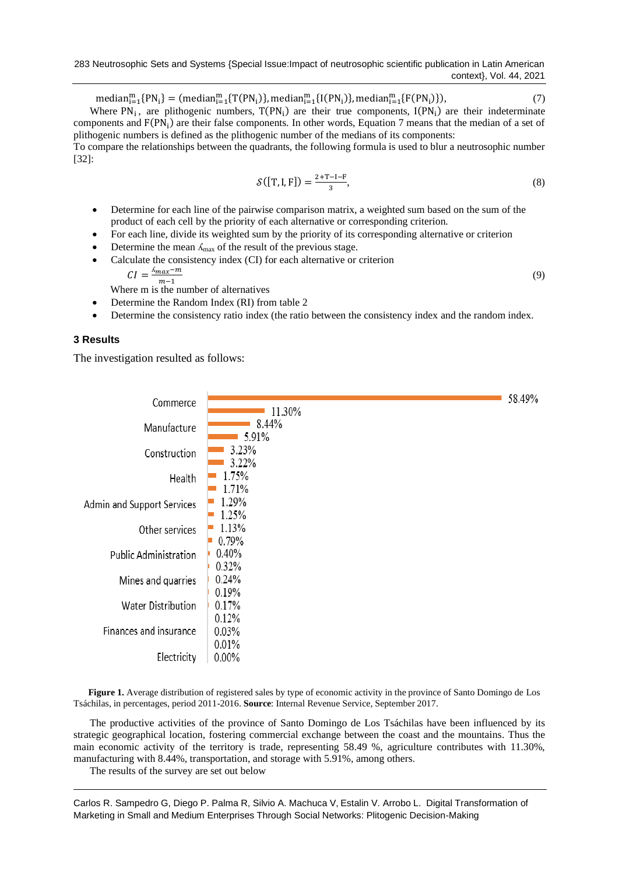283 Neutrosophic Sets and Systems {Special Issue:Impact of neutrosophic scientific publication in Latin American context}, Vol. 44, 2021

 $median_{i=1}^{m} {P N_i} = (median_{i=1}^{m} {T (P N_i)} , median_{i=1}^{m} {I (P N_i)} , median_{i=1}^{m} {F (P N_i)} ),$  (7)

Where  $PN_i$ , are plithogenic numbers,  $T(PN_i)$  are their true components,  $I(PN_i)$  are their indeterminate components and F(PN<sub>i</sub>) are their false components. In other words, Equation 7 means that the median of a set of plithogenic numbers is defined as the plithogenic number of the medians of its components:

To compare the relationships between the quadrants, the following formula is used to blur a neutrosophic number [32]:

$$
\mathcal{S}([T, I, F]) = \frac{2 + T - I - F}{3},\tag{8}
$$

- Determine for each line of the pairwise comparison matrix, a weighted sum based on the sum of the product of each cell by the priority of each alternative or corresponding criterion.
- For each line, divide its weighted sum by the priority of its corresponding alternative or criterion
- Determine the mean  $\Lambda_{\text{max}}$  of the result of the previous stage.
- Calculate the consistency index (CI) for each alternative or criterion

$$
CI = \frac{\Delta_{max} - m}{m - 1}
$$
 (9)  
Where m is the number of alternatives

- 
- Determine the Random Index (RI) from table 2
- Determine the consistency ratio index (the ratio between the consistency index and the random index.

## **3 Results**

The investigation resulted as follows:

|                              |          | 58.49% |
|------------------------------|----------|--------|
| Commerce                     | 11.30%   |        |
| Manufacture                  | 8.44%    |        |
|                              | 5.91%    |        |
| Construction                 | 3.23%    |        |
|                              | 3.22%    |        |
| Health                       | 1.75%    |        |
|                              | 1.71%    |        |
| Admin and Support Services   | 1.29%    |        |
|                              | 1.25%    |        |
| Other services               | 1.13%    |        |
|                              | 0.79%    |        |
| <b>Public Administration</b> | 0.40%    |        |
|                              | 0.32%    |        |
| Mines and quarries           | 0.24%    |        |
|                              | 0.19%    |        |
| Water Distribution           | 0.17%    |        |
|                              | 0.12%    |        |
| Finances and insurance       | 0.03%    |        |
|                              | 0.01%    |        |
| Electricity                  | $0.00\%$ |        |
|                              |          |        |

Figure 1. Average distribution of registered sales by type of economic activity in the province of Santo Domingo de Los Tsáchilas, in percentages, period 2011-2016. **Source**: Internal Revenue Service, September 2017.

The productive activities of the province of Santo Domingo de Los Tsáchilas have been influenced by its strategic geographical location, fostering commercial exchange between the coast and the mountains. Thus the main economic activity of the territory is trade, representing 58.49 %, agriculture contributes with 11.30%, manufacturing with 8.44%, transportation, and storage with 5.91%, among others.

The results of the survey are set out below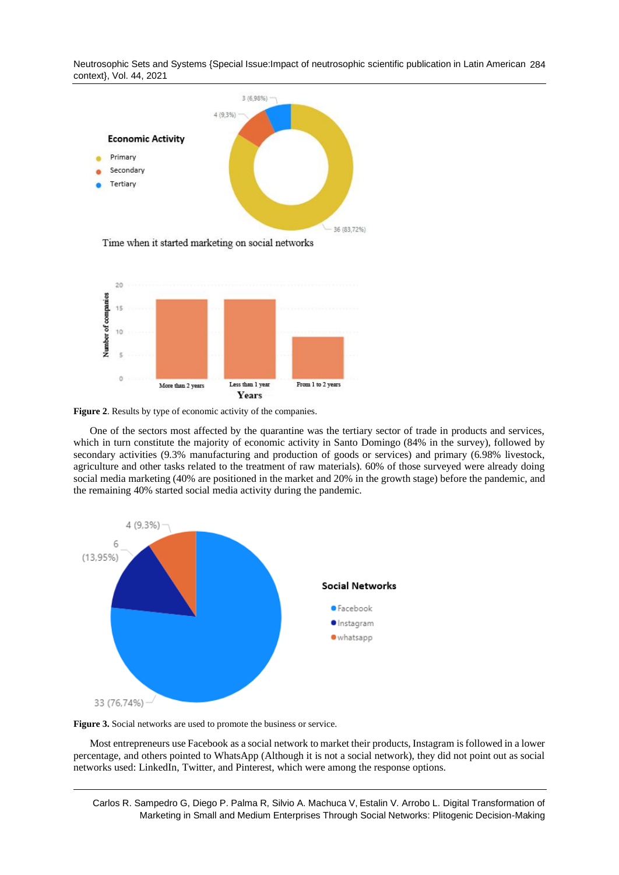Neutrosophic Sets and Systems {Special Issue:Impact of neutrosophic scientific publication in Latin American 284 context}, Vol. 44, 2021





**Figure 2**. Results by type of economic activity of the companies.

One of the sectors most affected by the quarantine was the tertiary sector of trade in products and services, which in turn constitute the majority of economic activity in Santo Domingo (84% in the survey), followed by secondary activities (9.3% manufacturing and production of goods or services) and primary (6.98% livestock, agriculture and other tasks related to the treatment of raw materials). 60% of those surveyed were already doing social media marketing (40% are positioned in the market and 20% in the growth stage) before the pandemic, and the remaining 40% started social media activity during the pandemic.



**Figure 3.** Social networks are used to promote the business or service.

Most entrepreneurs use Facebook as a social network to market their products, Instagram is followed in a lower percentage, and others pointed to WhatsApp (Although it is not a social network), they did not point out as social networks used: LinkedIn, Twitter, and Pinterest, which were among the response options.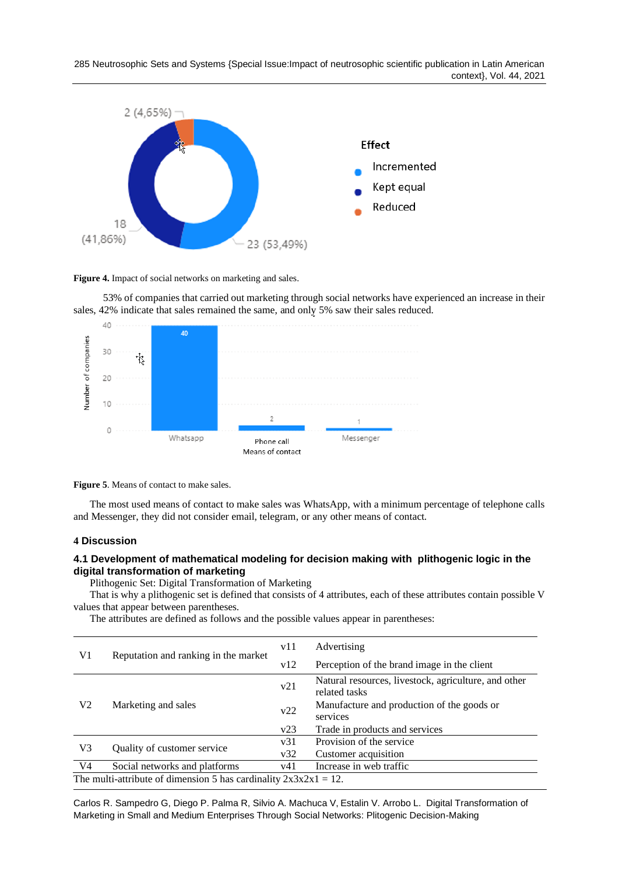

Figure 4. Impact of social networks on marketing and sales.

 53% of companies that carried out marketing through social networks have experienced an increase in their sales, 42% indicate that sales remained the same, and only 5% saw their sales reduced.



**Figure 5**. Means of contact to make sales.

The most used means of contact to make sales was WhatsApp, with a minimum percentage of telephone calls and Messenger, they did not consider email, telegram, or any other means of contact.

### **4 Discussion**

## **4.1 Development of mathematical modeling for decision making with plithogenic logic in the digital transformation of marketing**

Plithogenic Set: Digital Transformation of Marketing

That is why a plithogenic set is defined that consists of 4 attributes, each of these attributes contain possible V values that appear between parentheses.

The attributes are defined as follows and the possible values appear in parentheses:

|    |                                                                     | v11 | Advertising                                                           |  |  |  |  |  |  |
|----|---------------------------------------------------------------------|-----|-----------------------------------------------------------------------|--|--|--|--|--|--|
| V1 | Reputation and ranking in the market                                | v12 | Perception of the brand image in the client                           |  |  |  |  |  |  |
|    |                                                                     | v21 | Natural resources, livestock, agriculture, and other<br>related tasks |  |  |  |  |  |  |
| V2 | Marketing and sales                                                 | v22 | Manufacture and production of the goods or<br>services                |  |  |  |  |  |  |
|    |                                                                     | v23 | Trade in products and services                                        |  |  |  |  |  |  |
|    |                                                                     | v31 | Provision of the service                                              |  |  |  |  |  |  |
| V3 | Quality of customer service                                         | v32 | Customer acquisition                                                  |  |  |  |  |  |  |
| V4 | Social networks and platforms                                       | v41 | Increase in web traffic                                               |  |  |  |  |  |  |
|    | The multi-attribute of dimension 5 has cardinality $2x3x2x1 = 12$ . |     |                                                                       |  |  |  |  |  |  |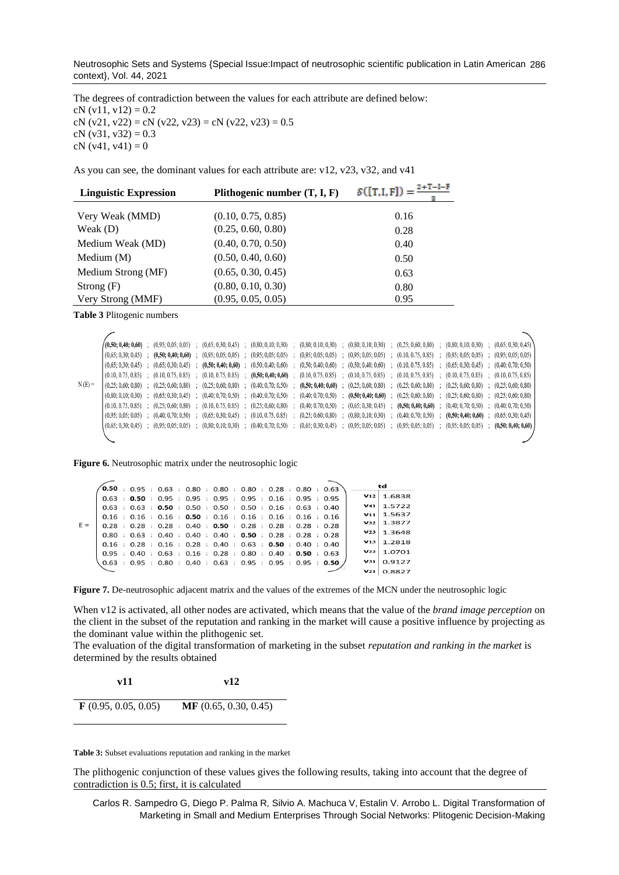Neutrosophic Sets and Systems {Special Issue:Impact of neutrosophic scientific publication in Latin American 286 context}, Vol. 44, 2021

The degrees of contradiction between the values for each attribute are defined below: cN  $(v11, v12) = 0.2$ cN (v21, v22) = cN (v22, v23) = cN (v22, v23) = 0.5 cN  $(y31, y32) = 0.3$ cN  $(v41, v41) = 0$ 

As you can see, the dominant values for each attribute are: v12, v23, v32, and v41

| <b>Linguistic Expression</b> | Plithogenic number $(T, I, F)$ | $S([T,I,F]) = \frac{2+T-I-F}{\sqrt{2}}$ |
|------------------------------|--------------------------------|-----------------------------------------|
| Very Weak (MMD)              | (0.10, 0.75, 0.85)             | 0.16                                    |
| Weak $(D)$                   | (0.25, 0.60, 0.80)             | 0.28                                    |
| Medium Weak (MD)             | (0.40, 0.70, 0.50)             | 0.40                                    |
| Medium $(M)$                 | (0.50, 0.40, 0.60)             | 0.50                                    |
| Medium Strong (MF)           | (0.65, 0.30, 0.45)             | 0.63                                    |
| Strong $(F)$                 | (0.80, 0.10, 0.30)             | 0.80                                    |
| Very Strong (MMF)            | (0.95, 0.05, 0.05)             | 0.95                                    |

**Table 3** Plitogenic numbers

|          | / (0.50; 0.40; 0.60) |  |  |  |  | $(0.95; 0.05; 0.05)$ ; $(0.65; 0.30; 0.45)$ ; $(0.80; 0.10; 0.30)$ ; $(0.80; 0.10; 0.30)$ ; $(0.80; 0.10; 0.30)$ ; $(0.80; 0.10; 0.30)$ ; $(0.25; 0.60; 0.80)$ ; $(0.80; 0.10; 0.30)$ ; $(0.65; 0.30; 0.45)$                          |  |  |  |
|----------|----------------------|--|--|--|--|---------------------------------------------------------------------------------------------------------------------------------------------------------------------------------------------------------------------------------------|--|--|--|
|          |                      |  |  |  |  | $(0.65; 0.30; 0.45)$ ; $(0.50; 0.40; 0.60)$ ; $(0.95; 0.05; 0.05)$ ; $(0.95; 0.05; 0.05)$ ; $(0.95; 0.05; 0.05)$ ; $(0.95; 0.05; 0.05)$ ; $(0.05; 0.05)$ ; $(0.10, 0.75, 0.85)$ ; $(0.95; 0.05; 0.05)$ ; $(0.95; 0.05; 0.05)$         |  |  |  |
|          |                      |  |  |  |  | $(0,65; 0,30; 0,45)$ ; $(0,65; 0,30; 0,45)$ ; $(0,50; 0,40; 0,60)$ ; $(0,50; 0,40; 0,60)$ ; $(0,50; 0,40; 0,60)$ ; $(0,50; 0,40; 0,60)$ ; $(0,10,0.75,0.85)$ ; $(0,65; 0,30; 0,45)$ ; $(0,40; 0,70; 0,50)$                            |  |  |  |
|          |                      |  |  |  |  | $(0.10, 0.75, 0.85)$ ; $(0.10, 0.75, 0.85)$ ; $(0.10, 0.75, 0.85)$ ; $(0.50, 0.40, 0.60)$ ; $(0.10, 0.75, 0.85)$ ; $(0.10, 0.75, 0.85)$ ; $(0.10, 0.75, 0.85)$ ; $(0.10, 0.75, 0.85)$ ; $(0.10, 0.75, 0.85)$ ; $(0.10, 0.75, $        |  |  |  |
| $N(E) =$ |                      |  |  |  |  | $(0.25; 0.60; 0.80)$ ; $(0.25; 0.60; 0.80)$ ; $(0.25; 0.60; 0.80)$ ; $(0.40; 0.70; 0.50)$ ; $(0.50; 0.40; 0.60)$ ; $(0.25; 0.60; 0.80)$ ; $(0.25; 0.60; 0.80)$ ; $(0.25; 0.60; 0.80)$ ; $(0.25; 0.60; 0.80)$ ; $(0.25; 0.60; 0.80)$ ; |  |  |  |
|          |                      |  |  |  |  | $(0.80; 0.10; 0.30)$ ; $(0.65; 0.30; 0.45)$ ; $(0.40; 0.70; 0.50)$ ; $(0.40; 0.70; 0.50)$ ; $(0.40; 0.70; 0.50)$ ; $(0.40; 0.70; 0.50)$ ; $(0.50; 0.40; 0.40; 0.60)$ ; $(0.25; 0.60; 0.80)$ ; $(0.25; 0.60; 0.80)$ ; $(0.25; $        |  |  |  |
|          |                      |  |  |  |  | $(0.10, 0.75, 0.85)$ ; $(0.25, 0.60, 0.80)$ ; $(0.10, 0.75, 0.85)$ ; $(0.25, 0.60, 0.80)$ ; $(0.40, 0.70, 0.50)$ ; $(0.65, 0.30, 0.45)$ ; $(0.50, 0.40, 0.60)$ ; $(0.40, 0.70, 0.50)$ ; $(0.40, 0.70, 0.50)$ ; $(0.40, 0.70, $        |  |  |  |
|          |                      |  |  |  |  | $(0.05, 0.05, 0.05)$ ; $(0.40, 0.70, 0.50)$ ; $(0.65, 0.30, 0.45)$ ; $(0.10, 0.75, 0.85)$ ; $(0.25, 0.60, 0.80)$ ; $(0.80, 0.10, 0.30)$ ; $(0.40, 0.70, 0.50)$ ; $(0.50, 0.40, 0.60)$ ; $(0.65, 0.30, 0.45)$                          |  |  |  |
|          |                      |  |  |  |  | $(0.65; 0.30; 0.45)$ ; $(0.95; 0.05; 0.05)$ ; $(0.80; 0.10; 0.30)$ ; $(0.40; 0.70; 0.50)$ ; $(0.65; 0.30; 0.45)$ ; $(0.95; 0.05; 0.05)$ ; $(0.95; 0.05; 0.05)$ ; $(0.95; 0.05; 0.05)$ ; $(0.95; 0.05; 0.05)$ ; $(0.90; 0.00; $        |  |  |  |
|          |                      |  |  |  |  |                                                                                                                                                                                                                                       |  |  |  |
|          |                      |  |  |  |  |                                                                                                                                                                                                                                       |  |  |  |

**Figure 6.** Neutrosophic matrix under the neutrosophic logic

|       | $\mathbf{[0.50}$ ; 0.95 ; 0.63 ; 0.80 ; 0.80 ; 0.80 ; 0.28 ; 0.80 ; 0.63       |  |  |                                                                                |  |  |  |  |  |                 | td              |
|-------|--------------------------------------------------------------------------------|--|--|--------------------------------------------------------------------------------|--|--|--|--|--|-----------------|-----------------|
|       |                                                                                |  |  | 0.63 ; 0.50 ; 0.95 ; 0.95 ; 0.95 ; 0.95 ; 0.16 ; 0.95 ; 0.95                   |  |  |  |  |  |                 | $V12$ 1.6838    |
|       |                                                                                |  |  | $0.63$ ; $0.63$ ; $0.50$ ; $0.50$ ; $0.50$ ; $0.50$ ; $0.16$ ; $0.63$ ; $0.40$ |  |  |  |  |  | V41             | 1.5722          |
|       |                                                                                |  |  | $0.16$ ; $0.16$ ; $0.16$ ; $0.50$ ; $0.16$ ; $0.16$ ; $0.16$ ; $0.16$ ; $0.16$ |  |  |  |  |  | V11             | 1.5637          |
| $E =$ |                                                                                |  |  | 0.28 ; 0.28 ; 0.28 ; 0.40 ; 0.50 ; 0.28 ; 0.28 ; 0.28 ; 0.28                   |  |  |  |  |  | V32             | 1.3877          |
|       |                                                                                |  |  | $0.80$ ; $0.63$ ; $0.40$ ; $0.40$ ; $0.40$ ; $0.50$ ; $0.28$ ; $0.28$ ; $0.28$ |  |  |  |  |  | V23             | 1.3648          |
|       |                                                                                |  |  | $0.16$ ; $0.28$ ; $0.16$ ; $0.28$ ; $0.40$ ; $0.63$ ; $0.50$ ; $0.40$ ; $0.40$ |  |  |  |  |  | V13             | 1.2818          |
|       |                                                                                |  |  | $0.95$ ; $0.40$ ; $0.63$ ; $0.16$ ; $0.28$ ; $0.80$ ; $0.40$ ; $0.50$ ; $0.63$ |  |  |  |  |  | V <sub>22</sub> | 1.0701          |
|       | $0.63$ ; $0.95$ ; $0.80$ ; $0.40$ ; $0.63$ ; $0.95$ ; $0.95$ ; $0.95$ ; $0.50$ |  |  |                                                                                |  |  |  |  |  | V31             | 0.9127          |
|       |                                                                                |  |  |                                                                                |  |  |  |  |  |                 | $V_{21}$ 0.8827 |

**Figure 7.** De-neutrosophic adjacent matrix and the values of the extremes of the MCN under the neutrosophic logic

When v12 is activated, all other nodes are activated, which means that the value of the *brand image perception* on the client in the subset of the reputation and ranking in the market will cause a positive influence by projecting as the dominant value within the plithogenic set.

The evaluation of the digital transformation of marketing in the subset *reputation and ranking in the market* is determined by the results obtained

| v11                         | v12                  |
|-----------------------------|----------------------|
| $\bf{F}$ (0.95, 0.05, 0.05) | MF(0.65, 0.30, 0.45) |

**Table 3:** Subset evaluations reputation and ranking in the market

The plithogenic conjunction of these values gives the following results, taking into account that the degree of contradiction is 0.5; first, it is calculated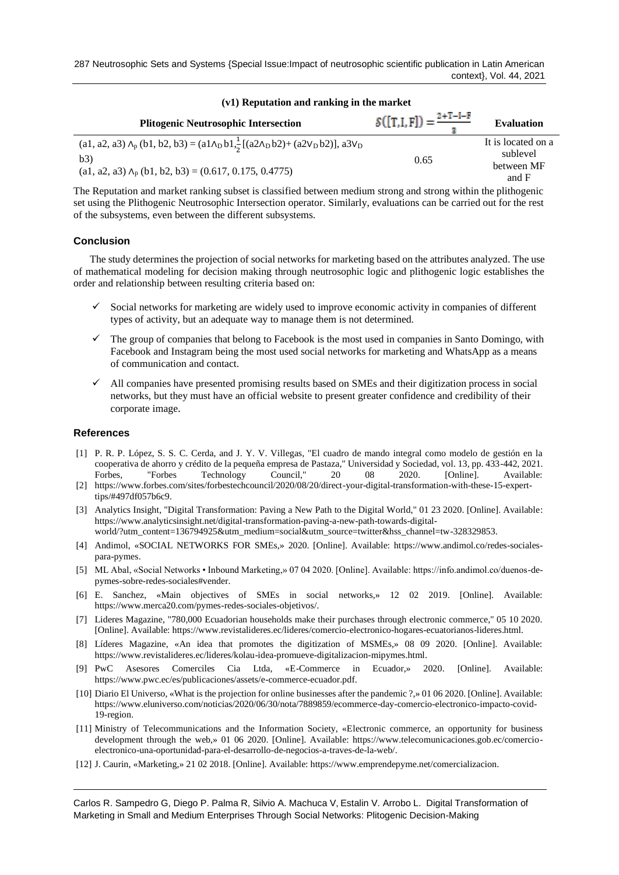| (v1) Reputation and ranking in the market                                                                                                                                                             |                                            |                                                       |  |  |  |  |  |  |
|-------------------------------------------------------------------------------------------------------------------------------------------------------------------------------------------------------|--------------------------------------------|-------------------------------------------------------|--|--|--|--|--|--|
| <b>Plitogenic Neutrosophic Intersection</b>                                                                                                                                                           | $\mathcal{S}([T,I,F]) = \frac{2+T-I-F}{2}$ | <b>Evaluation</b>                                     |  |  |  |  |  |  |
| (a1, a2, a3) $\Lambda_p$ (b1, b2, b3) = (a1 $\Lambda_p$ b1, $\frac{1}{2}$ [(a2 $\Lambda_p$ b2)+ (a2 $V_p$ b2)], a3 $V_p$<br>b3)<br>$(a1, a2, a3)$ $\Lambda_p$ $(b1, b2, b3) = (0.617, 0.175, 0.4775)$ | 0.65                                       | It is located on a<br>sublevel<br>between MF<br>and F |  |  |  |  |  |  |

The Reputation and market ranking subset is classified between medium strong and strong within the plithogenic set using the Plithogenic Neutrosophic Intersection operator. Similarly, evaluations can be carried out for the rest of the subsystems, even between the different subsystems.

### **Conclusion**

The study determines the projection of social networks for marketing based on the attributes analyzed. The use of mathematical modeling for decision making through neutrosophic logic and plithogenic logic establishes the order and relationship between resulting criteria based on:

- ✓ Social networks for marketing are widely used to improve economic activity in companies of different types of activity, but an adequate way to manage them is not determined.
- ✓ The group of companies that belong to Facebook is the most used in companies in Santo Domingo, with Facebook and Instagram being the most used social networks for marketing and WhatsApp as a means of communication and contact.
- $\checkmark$  All companies have presented promising results based on SMEs and their digitization process in social networks, but they must have an official website to present greater confidence and credibility of their corporate image.

### **References**

- [1] P. R. P. López, S. S. C. Cerda, and J. Y. V. Villegas, "El cuadro de mando integral como modelo de gestión en la cooperativa de ahorro y crédito de la pequeña empresa de Pastaza," Universidad y Sociedad, vol. 13, pp. 433-442, 2021. Forbes, "Forbes Technology Council," 20 08 2020. [Online]. Available:
- [2] https://www.forbes.com/sites/forbestechcouncil/2020/08/20/direct-your-digital-transformation-with-these-15-experttips/#497df057b6c9.
- [3] Analytics Insight, "Digital Transformation: Paving a New Path to the Digital World," 01 23 2020. [Online]. Available: https://www.analyticsinsight.net/digital-transformation-paving-a-new-path-towards-digitalworld/?utm\_content=136794925&utm\_medium=social&utm\_source=twitter&hss\_channel=tw-328329853.
- [4] Andimol, «SOCIAL NETWORKS FOR SMEs,» 2020. [Online]. Available: https://www.andimol.co/redes-socialespara-pymes.
- [5] ML Abal, «Social Networks Inbound Marketing,» 07 04 2020. [Online]. Available: https://info.andimol.co/duenos-depymes-sobre-redes-sociales#vender.
- [6] E. Sanchez, «Main objectives of SMEs in social networks,» 12 02 2019. [Online]. Available: https://www.merca20.com/pymes-redes-sociales-objetivos/.
- [7] Lideres Magazine, "780,000 Ecuadorian households make their purchases through electronic commerce," 05 10 2020. [Online]. Available: https://www.revistalideres.ec/lideres/comercio-electronico-hogares-ecuatorianos-lideres.html.
- [8] Líderes Magazine, «An idea that promotes the digitization of MSMEs,» 08 09 2020. [Online]. Available: https://www.revistalideres.ec/lideres/kolau-idea-promueve-digitalizacion-mipymes.html.
- [9] PwC Asesores Comerciles Cia Ltda, «E-Commerce in Ecuador,» 2020. [Online]. Available: https://www.pwc.ec/es/publicaciones/assets/e-commerce-ecuador.pdf.
- [10] Diario El Universo, «What is the projection for online businesses after the pandemic ?,» 01 06 2020. [Online]. Available: https://www.eluniverso.com/noticias/2020/06/30/nota/7889859/ecommerce-day-comercio-electronico-impacto-covid-19-region.
- [11] Ministry of Telecommunications and the Information Society, «Electronic commerce, an opportunity for business development through the web,» 01 06 2020. [Online]. Available: https://www.telecomunicaciones.gob.ec/comercioelectronico-una-oportunidad-para-el-desarrollo-de-negocios-a-traves-de-la-web/.
- [12] J. Caurin, «Marketing,» 21 02 2018. [Online]. Available: https://www.emprendepyme.net/comercializacion.